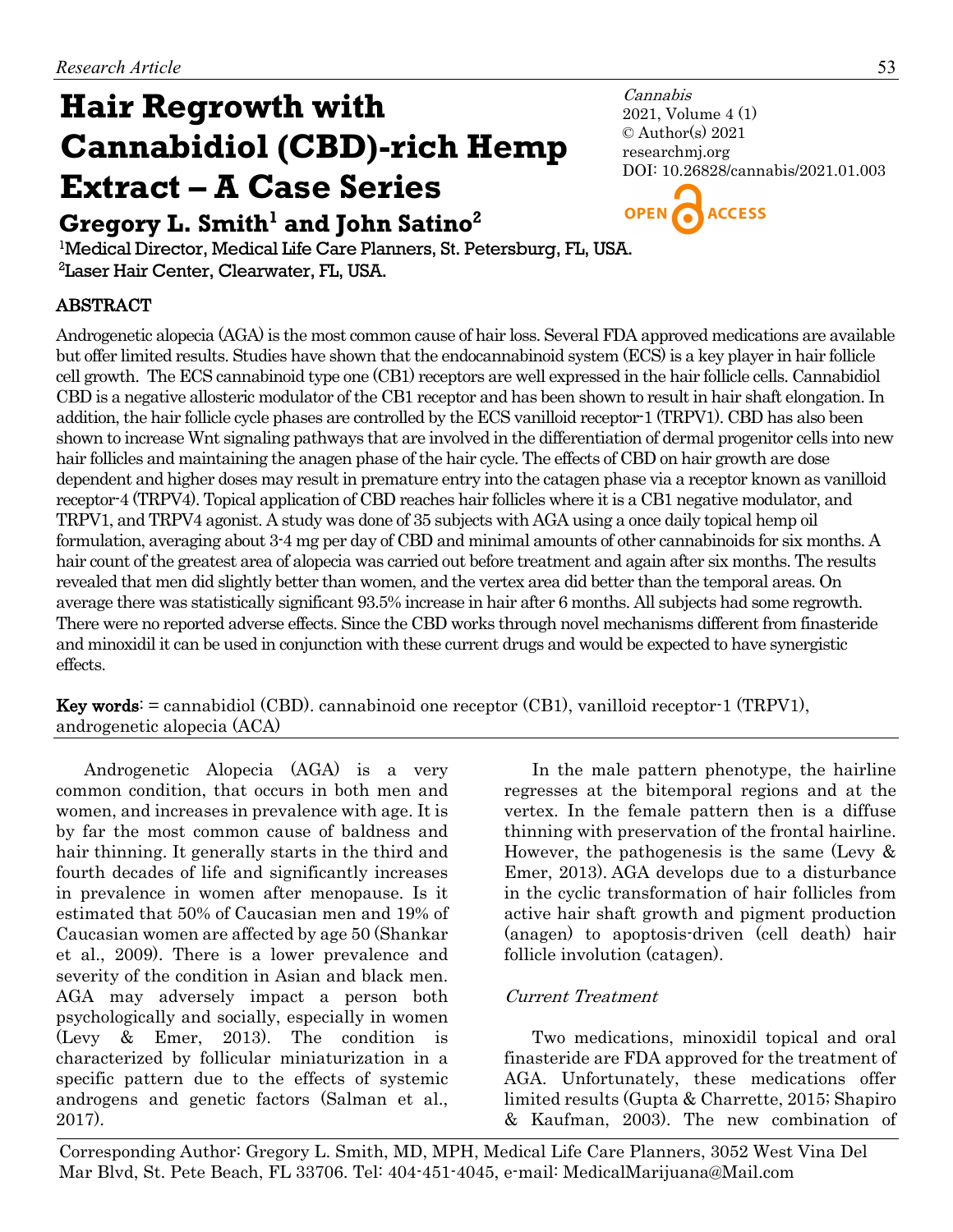# **Cannabidiol (CBD)-rich Hemp Extract – A Case Series Hair Regrowth with**  Gregory L. Smith<sup>1</sup> and John Satino<sup>2</sup>

Cannabis 2021, Volume 4 (1) © Author(s) 2021 researchmj.org DOI: 10.26828/cannabis/2021.01.003



<sup>1</sup>Medical Director, Medical Life Care Planners, St. Petersburg, FL, USA. 2 Laser Hair Center, Clearwater, FL, USA.

# ABSTRACT

Androgenetic alopecia (AGA) is the most common cause of hair loss. Several FDA approved medications are available but offer limited results. Studies have shown that the endocannabinoid system (ECS) is a key player in hair follicle cell growth. The ECS cannabinoid type one (CB1) receptors are well expressed in the hair follicle cells. Cannabidiol CBD is a negative allosteric modulator of the CB1 receptor and has been shown to result in hair shaft elongation. In addition, the hair follicle cycle phases are controlled by the ECS vanilloid receptor-1 (TRPV1). CBD has also been shown to increase Wnt signaling pathways that are involved in the differentiation of dermal progenitor cells into new hair follicles and maintaining the anagen phase of the hair cycle. The effects of CBD on hair growth are dose dependent and higher doses may result in premature entry into the catagen phase via a receptor known as vanilloid receptor-4 (TRPV4). Topical application of CBD reaches hair follicles where it is a CB1 negative modulator, and TRPV1, and TRPV4 agonist. A study was done of 35 subjects with AGA using a once daily topical hemp oil formulation, averaging about 3-4 mg per day of CBD and minimal amounts of other cannabinoids for six months. A hair count of the greatest area of alopecia was carried out before treatment and again after six months. The results revealed that men did slightly better than women, and the vertex area did better than the temporal areas. On average there was statistically significant 93.5% increase in hair after 6 months. All subjects had some regrowth. There were no reported adverse effects. Since the CBD works through novel mechanisms different from finasteride and minoxidil it can be used in conjunction with these current drugs and would be expected to have synergistic effects.

**Key words:**  $=$  cannabidiol (CBD). cannabinoid one receptor (CB1), vanilloid receptor-1 (TRPV1), androgenetic alopecia (ACA)

Androgenetic Alopecia (AGA) is a very common condition, that occurs in both men and women, and increases in prevalence with age. It is by far the most common cause of baldness and hair thinning. It generally starts in the third and fourth decades of life and significantly increases in prevalence in women after menopause. Is it estimated that 50% of Caucasian men and 19% of Caucasian women are affected by age 50 (Shankar et al., 2009). There is a lower prevalence and severity of the condition in Asian and black men. AGA may adversely impact a person both psychologically and socially, especially in women (Levy & Emer, 2013). The condition is characterized by follicular miniaturization in a specific pattern due to the effects of systemic androgens and genetic factors (Salman et al., 2017).

In the male pattern phenotype, the hairline regresses at the bitemporal regions and at the vertex. In the female pattern then is a diffuse thinning with preservation of the frontal hairline. However, the pathogenesis is the same (Levy  $\&$ Emer, 2013). AGA develops due to a disturbance in the cyclic transformation of hair follicles from active hair shaft growth and pigment production (anagen) to apoptosis-driven (cell death) hair follicle involution (catagen).

# Current Treatment

Two medications, minoxidil topical and oral finasteride are FDA approved for the treatment of AGA. Unfortunately, these medications offer limited results (Gupta & Charrette, 2015; Shapiro & Kaufman, 2003). The new combination of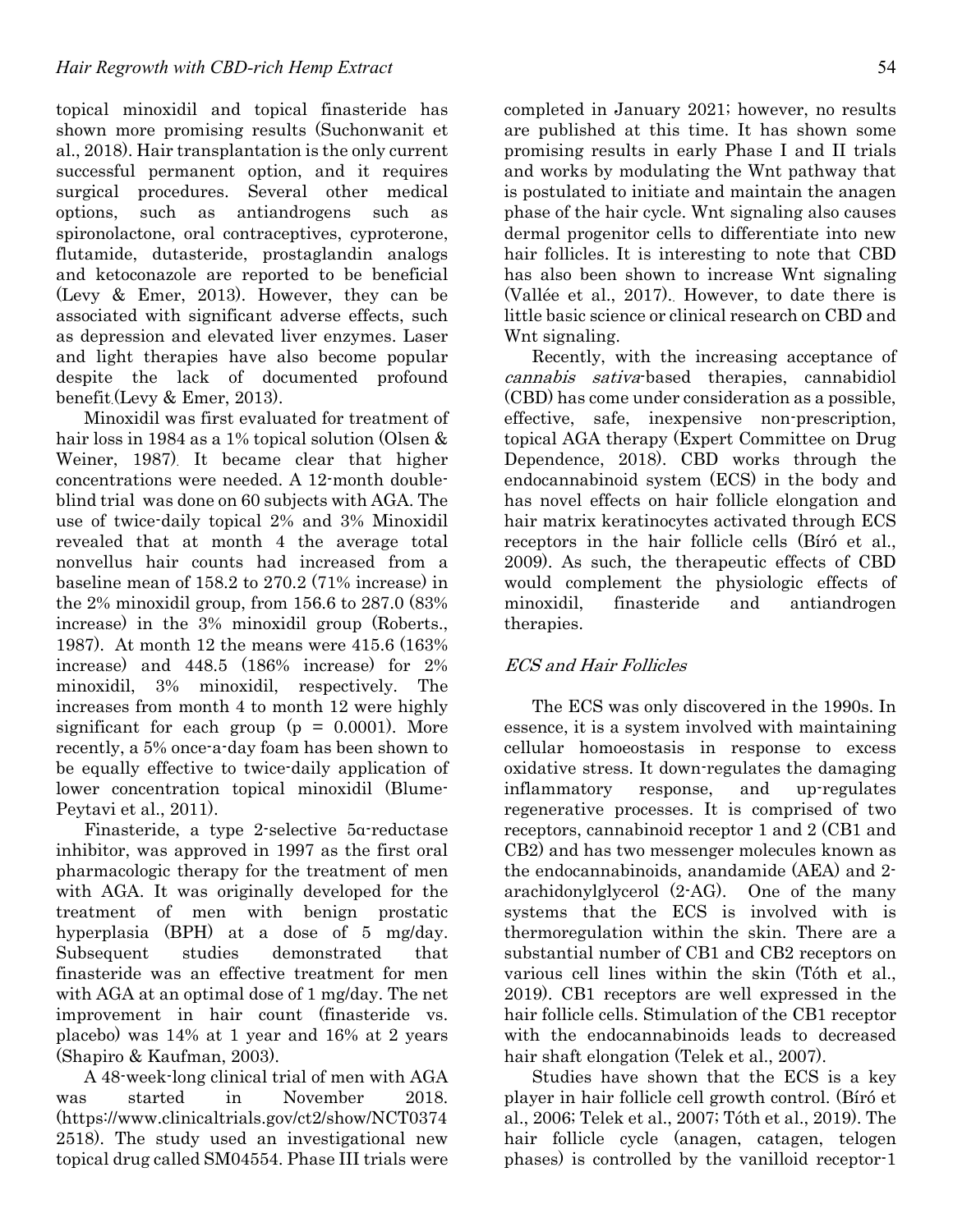topical minoxidil and topical finasteride has shown more promising results (Suchonwanit et al., 2018). Hair transplantation is the only current successful permanent option, and it requires surgical procedures. Several other medical options, such as antiandrogens such as spironolactone, oral contraceptives, cyproterone, flutamide, dutasteride, prostaglandin analogs and ketoconazole are reported to be beneficial (Levy & Emer, 2013). However, they can be associated with significant adverse effects, such as depression and elevated liver enzymes. Laser and light therapies have also become popular despite the lack of documented profound benefit.(Levy & Emer, 2013).

Minoxidil was first evaluated for treatment of hair loss in 1984 as a 1% topical solution (Olsen & Weiner, 1987). It became clear that higher concentrations were needed. A 12-month doubleblind trial was done on 60 subjects with AGA. The use of twice-daily topical 2% and 3% Minoxidil revealed that at month 4 the average total nonvellus hair counts had increased from a baseline mean of 158.2 to 270.2 (71% increase) in the 2% minoxidil group, from 156.6 to 287.0 (83% increase) in the 3% minoxidil group (Roberts., 1987). At month 12 the means were 415.6 (163% increase) and 448.5 (186% increase) for 2% minoxidil, 3% minoxidil, respectively. The increases from month 4 to month 12 were highly significant for each group  $(p = 0.0001)$ . More recently, a 5% once-a-day foam has been shown to be equally effective to twice-daily application of lower concentration topical minoxidil (Blume-Peytavi et al., 2011).

Finasteride, a type 2-selective 5α-reductase inhibitor, was approved in 1997 as the first oral pharmacologic therapy for the treatment of men with AGA. It was originally developed for the treatment of men with benign prostatic hyperplasia (BPH) at a dose of 5 mg/day. Subsequent studies demonstrated that finasteride was an effective treatment for men with AGA at an optimal dose of 1 mg/day. The net improvement in hair count (finasteride vs. placebo) was 14% at 1 year and 16% at 2 years (Shapiro & Kaufman, 2003).

A 48-week-long clinical trial of men with AGA was started in November 2018. (https://www.clinicaltrials.gov/ct2/show/NCT0374 2518). The study used an investigational new topical drug called SM04554. Phase III trials were

completed in January 2021; however, no results are published at this time. It has shown some promising results in early Phase I and II trials and works by modulating the Wnt pathway that is postulated to initiate and maintain the anagen phase of the hair cycle. Wnt signaling also causes dermal progenitor cells to differentiate into new hair follicles. It is interesting to note that CBD has also been shown to increase Wnt signaling (Vallée et al., 2017).. However, to date there is little basic science or clinical research on CBD and Wnt signaling.

Recently, with the increasing acceptance of cannabis sativa-based therapies, cannabidiol (CBD) has come under consideration as a possible, effective, safe, inexpensive non-prescription, topical AGA therapy (Expert Committee on Drug Dependence, 2018). CBD works through the endocannabinoid system (ECS) in the body and has novel effects on hair follicle elongation and hair matrix keratinocytes activated through ECS receptors in the hair follicle cells (Bíró et al., 2009). As such, the therapeutic effects of CBD would complement the physiologic effects of minoxidil, finasteride and antiandrogen therapies.

## ECS and Hair Follicles

The ECS was only discovered in the 1990s. In essence, it is a system involved with maintaining cellular homoeostasis in response to excess oxidative stress. It down-regulates the damaging inflammatory response, and up-regulates regenerative processes. It is comprised of two receptors, cannabinoid receptor 1 and 2 (CB1 and CB2) and has two messenger molecules known as the endocannabinoids, anandamide (AEA) and 2 arachidonylglycerol (2-AG). One of the many systems that the ECS is involved with is thermoregulation within the skin. There are a substantial number of CB1 and CB2 receptors on various cell lines within the skin (Tóth et al., 2019). CB1 receptors are well expressed in the hair follicle cells. Stimulation of the CB1 receptor with the endocannabinoids leads to decreased hair shaft elongation (Telek et al., 2007).

Studies have shown that the ECS is a key player in hair follicle cell growth control. (Bíró et al., 2006; Telek et al., 2007; Tóth et al., 2019). The hair follicle cycle (anagen, catagen, telogen phases) is controlled by the vanilloid receptor-1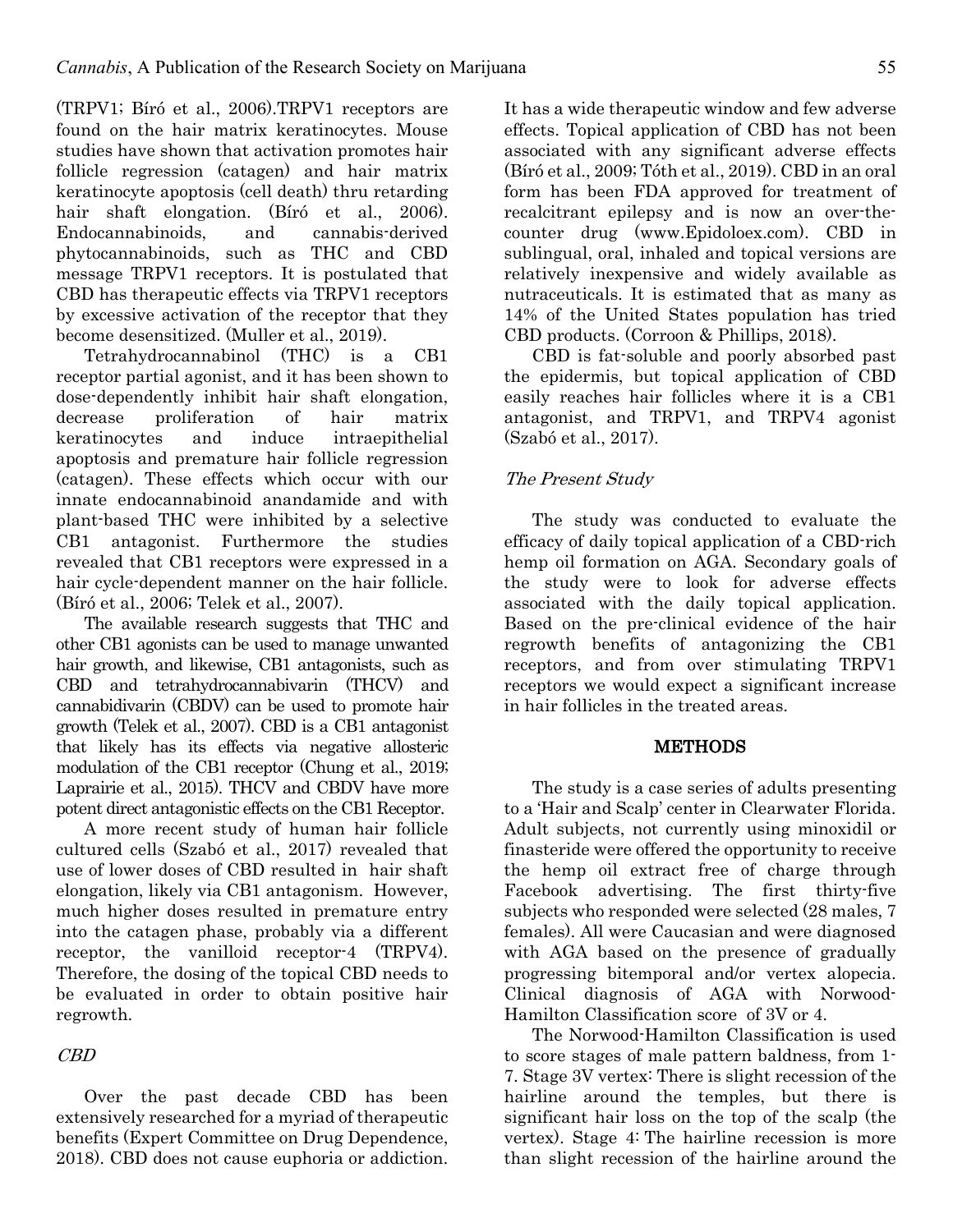(TRPV1; Bíró et al., 2006).TRPV1 receptors are found on the hair matrix keratinocytes. Mouse studies have shown that activation promotes hair follicle regression (catagen) and hair matrix keratinocyte apoptosis (cell death) thru retarding hair shaft elongation. (Bíró et al., 2006). Endocannabinoids, and cannabis-derived phytocannabinoids, such as THC and CBD message TRPV1 receptors. It is postulated that CBD has therapeutic effects via TRPV1 receptors by excessive activation of the receptor that they become desensitized. (Muller et al., 2019).

Tetrahydrocannabinol (THC) is a CB1 receptor partial agonist, and it has been shown to dose-dependently inhibit hair shaft elongation, decrease proliferation of hair matrix keratinocytes and induce intraepithelial apoptosis and premature hair follicle regression (catagen). These effects which occur with our innate endocannabinoid anandamide and with plant-based THC were inhibited by a selective CB1 antagonist. Furthermore the studies revealed that CB1 receptors were expressed in a hair cycle-dependent manner on the hair follicle. (Bíró et al., 2006; Telek et al., 2007).

The available research suggests that THC and other CB1 agonists can be used to manage unwanted hair growth, and likewise, CB1 antagonists, such as CBD and tetrahydrocannabivarin (THCV) and cannabidivarin (CBDV) can be used to promote hair growth (Telek et al., 2007). CBD is a CB1 antagonist that likely has its effects via negative allosteric modulation of the CB1 receptor (Chung et al., 2019; Laprairie et al., 2015). THCV and CBDV have more potent direct antagonistic effects on the CB1 Receptor.

A more recent study of human hair follicle cultured cells (Szabó et al., 2017) revealed that use of lower doses of CBD resulted in hair shaft elongation, likely via CB1 antagonism. However, much higher doses resulted in premature entry into the catagen phase, probably via a different receptor, the vanilloid receptor-4 (TRPV4). Therefore, the dosing of the topical CBD needs to be evaluated in order to obtain positive hair regrowth.

# CBD

Over the past decade CBD has been extensively researched for a myriad of therapeutic benefits (Expert Committee on Drug Dependence, 2018). CBD does not cause euphoria or addiction. It has a wide therapeutic window and few adverse effects. Topical application of CBD has not been associated with any significant adverse effects (Bíró et al., 2009; Tóth et al., 2019). CBD in an oral form has been FDA approved for treatment of recalcitrant epilepsy and is now an over-thecounter drug (www.Epidoloex.com). CBD in sublingual, oral, inhaled and topical versions are relatively inexpensive and widely available as nutraceuticals. It is estimated that as many as 14% of the United States population has tried CBD products. (Corroon & Phillips, 2018).

CBD is fat-soluble and poorly absorbed past the epidermis, but topical application of CBD easily reaches hair follicles where it is a CB1 antagonist, and TRPV1, and TRPV4 agonist (Szabó et al., 2017).

## The Present Study

The study was conducted to evaluate the efficacy of daily topical application of a CBD-rich hemp oil formation on AGA. Secondary goals of the study were to look for adverse effects associated with the daily topical application. Based on the pre-clinical evidence of the hair regrowth benefits of antagonizing the CB1 receptors, and from over stimulating TRPV1 receptors we would expect a significant increase in hair follicles in the treated areas.

#### **METHODS**

The study is a case series of adults presenting to a 'Hair and Scalp' center in Clearwater Florida. Adult subjects, not currently using minoxidil or finasteride were offered the opportunity to receive the hemp oil extract free of charge through Facebook advertising. The first thirty-five subjects who responded were selected (28 males, 7 females). All were Caucasian and were diagnosed with AGA based on the presence of gradually progressing bitemporal and/or vertex alopecia. Clinical diagnosis of AGA with Norwood-Hamilton Classification score of 3V or 4.

The Norwood-Hamilton Classification is used to score stages of male pattern baldness, from 1- 7. Stage 3V vertex: There is slight recession of the hairline around the temples, but there is significant hair loss on the top of the scalp (the vertex). Stage 4: The hairline recession is more than slight recession of the hairline around the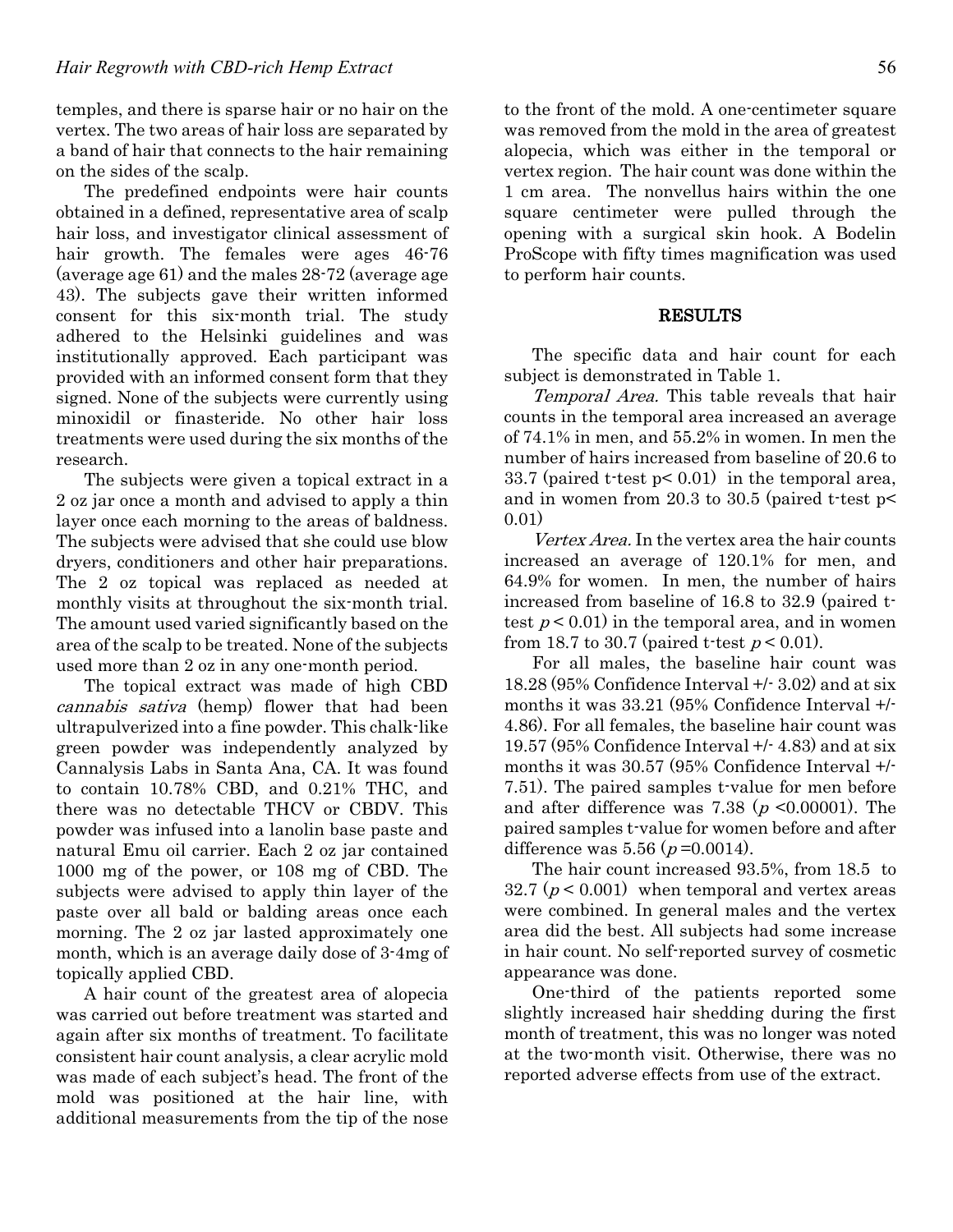temples, and there is sparse hair or no hair on the vertex. The two areas of hair loss are separated by a band of hair that connects to the hair remaining on the sides of the scalp.

The predefined endpoints were hair counts obtained in a defined, representative area of scalp hair loss, and investigator clinical assessment of hair growth. The females were ages 46-76 (average age 61) and the males 28-72 (average age 43). The subjects gave their written informed consent for this six-month trial. The study adhered to the Helsinki guidelines and was institutionally approved. Each participant was provided with an informed consent form that they signed. None of the subjects were currently using minoxidil or finasteride. No other hair loss treatments were used during the six months of the research.

The subjects were given a topical extract in a 2 oz jar once a month and advised to apply a thin layer once each morning to the areas of baldness. The subjects were advised that she could use blow dryers, conditioners and other hair preparations. The 2 oz topical was replaced as needed at monthly visits at throughout the six-month trial. The amount used varied significantly based on the area of the scalp to be treated. None of the subjects used more than 2 oz in any one-month period.

The topical extract was made of high CBD cannabis sativa (hemp) flower that had been ultrapulverized into a fine powder. This chalk-like green powder was independently analyzed by Cannalysis Labs in Santa Ana, CA. It was found to contain 10.78% CBD, and 0.21% THC, and there was no detectable THCV or CBDV. This powder was infused into a lanolin base paste and natural Emu oil carrier. Each 2 oz jar contained 1000 mg of the power, or 108 mg of CBD. The subjects were advised to apply thin layer of the paste over all bald or balding areas once each morning. The 2 oz jar lasted approximately one month, which is an average daily dose of 3-4mg of topically applied CBD.

A hair count of the greatest area of alopecia was carried out before treatment was started and again after six months of treatment. To facilitate consistent hair count analysis, a clear acrylic mold was made of each subject's head. The front of the mold was positioned at the hair line, with additional measurements from the tip of the nose

to the front of the mold. A one-centimeter square was removed from the mold in the area of greatest alopecia, which was either in the temporal or vertex region. The hair count was done within the 1 cm area. The nonvellus hairs within the one square centimeter were pulled through the opening with a surgical skin hook. A Bodelin ProScope with fifty times magnification was used to perform hair counts.

### RESULTS

The specific data and hair count for each subject is demonstrated in Table 1.

Temporal Area. This table reveals that hair counts in the temporal area increased an average of 74.1% in men, and 55.2% in women. In men the number of hairs increased from baseline of 20.6 to 33.7 (paired t-test p< 0.01) in the temporal area, and in women from 20.3 to 30.5 (paired t-test p< 0.01)

Vertex Area. In the vertex area the hair counts increased an average of 120.1% for men, and 64.9% for women. In men, the number of hairs increased from baseline of 16.8 to 32.9 (paired ttest  $p < 0.01$  in the temporal area, and in women from 18.7 to 30.7 (paired t-test  $p < 0.01$ ).

For all males, the baseline hair count was 18.28 (95% Confidence Interval +/- 3.02) and at six months it was 33.21 (95% Confidence Interval +/- 4.86). For all females, the baseline hair count was 19.57 (95% Confidence Interval +/- 4.83) and at six months it was 30.57 (95% Confidence Interval +/- 7.51). The paired samples t-value for men before and after difference was 7.38 ( $p \le 0.00001$ ). The paired samples t-value for women before and after difference was  $5.56 (p = 0.0014)$ .

The hair count increased 93.5%, from 18.5 to 32.7 ( $p < 0.001$ ) when temporal and vertex areas were combined. In general males and the vertex area did the best. All subjects had some increase in hair count. No self-reported survey of cosmetic appearance was done.

One-third of the patients reported some slightly increased hair shedding during the first month of treatment, this was no longer was noted at the two-month visit. Otherwise, there was no reported adverse effects from use of the extract.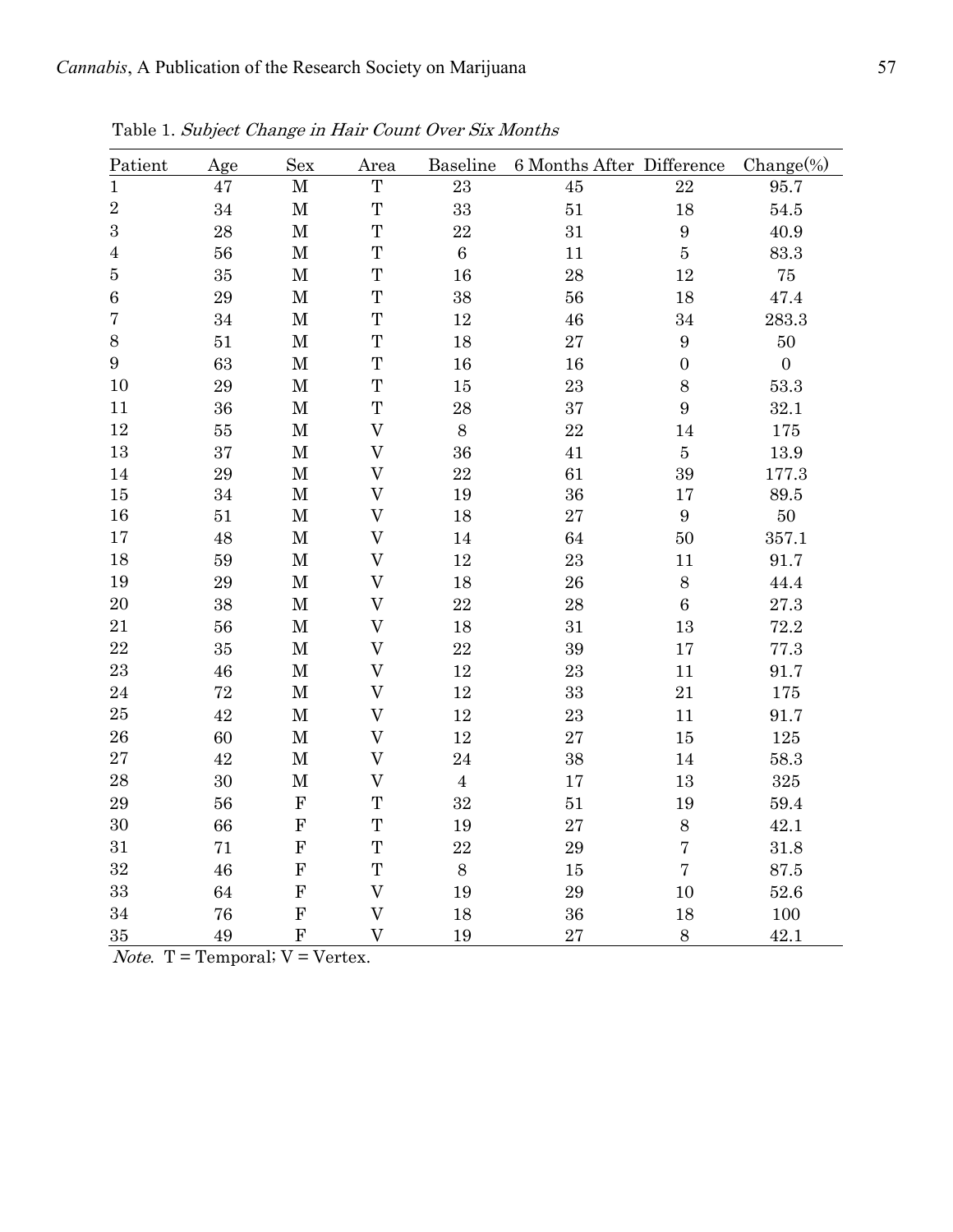| Patient                 | Age    | Sex         | Area                      | Baseline  | 6 Months After Difference |                  | $Change(\%)$     |
|-------------------------|--------|-------------|---------------------------|-----------|---------------------------|------------------|------------------|
| $\mathbf{1}$            | 47     | $\mathbf M$ | T                         | 23        | 45                        | 22               | 95.7             |
| $\sqrt{2}$              | 34     | $\mathbf M$ | T                         | 33        | $51\,$                    | 18               | $54.5\,$         |
| $\sqrt{3}$              | 28     | $\mathbf M$ | T                         | $\bf 22$  | 31                        | $\boldsymbol{9}$ | 40.9             |
| $\sqrt{4}$              | 56     | $\mathbf M$ | T                         | $\,6$     | $11\,$                    | $\bf 5$          | 83.3             |
| $\bf 5$                 | 35     | $\mathbf M$ | T                         | 16        | 28                        | $12\,$           | $75\,$           |
| $\,6\,$                 | 29     | $\mathbf M$ | T                         | 38        | 56                        | 18               | 47.4             |
| $\overline{\mathbf{7}}$ | 34     | $\mathbf M$ | T                         | 12        | 46                        | 34               | $283.3\,$        |
| $8\,$                   | 51     | $\mathbf M$ | T                         | 18        | 27                        | $\boldsymbol{9}$ | $50\,$           |
| $9\phantom{.}$          | 63     | $\mathbf M$ | $\mathbf T$               | 16        | 16                        | $\boldsymbol{0}$ | $\boldsymbol{0}$ |
| 10                      | 29     | $\mathbf M$ | T                         | 15        | 23                        | $8\,$            | 53.3             |
| 11                      | 36     | $\mathbf M$ | T                         | 28        | 37                        | 9                | 32.1             |
| 12                      | $55\,$ | $\mathbf M$ | $\overline{V}$            | $8\,$     | 22                        | $14\,$           | 175              |
| 13                      | 37     | $\mathbf M$ | $\boldsymbol{\mathrm{V}}$ | 36        | $41\,$                    | $\bf 5$          | 13.9             |
| 14                      | 29     | $\mathbf M$ | $\boldsymbol{\mathrm{V}}$ | 22        | 61                        | 39               | 177.3            |
| $15\,$                  | 34     | $\mathbf M$ | $\overline{V}$            | 19        | 36                        | 17               | $89.5\,$         |
| 16                      | 51     | $\mathbf M$ | $\boldsymbol{\mathrm{V}}$ | 18        | 27                        | $\boldsymbol{9}$ | $50\,$           |
| 17                      | 48     | $\mathbf M$ | $\boldsymbol{\mathrm{V}}$ | 14        | 64                        | $50\,$           | 357.1            |
| 18                      | 59     | $\mathbf M$ | $\overline{V}$            | 12        | 23                        | 11               | 91.7             |
| 19                      | 29     | $\mathbf M$ | $\overline{V}$            | 18        | 26                        | 8                | 44.4             |
| $20\,$                  | 38     | $\mathbf M$ | $\boldsymbol{\mathrm{V}}$ | $\bf{22}$ | 28                        | $\boldsymbol{6}$ | 27.3             |
| $21\,$                  | 56     | $\mathbf M$ | $\rm V$                   | 18        | 31                        | 13               | 72.2             |
| 22                      | 35     | $\mathbf M$ | $\boldsymbol{\mathrm{V}}$ | $\bf{22}$ | 39                        | $17\,$           | 77.3             |
| 23                      | 46     | $\mathbf M$ | $\rm V$                   | $12\,$    | 23                        | 11               | 91.7             |
| $\bf 24$                | 72     | $\mathbf M$ | $\rm V$                   | $12\,$    | 33                        | 21               | 175              |
| $25\,$                  | 42     | $\mathbf M$ | $\overline{V}$            | 12        | 23                        | 11               | 91.7             |
| ${\bf 26}$              | 60     | $\mathbf M$ | $\rm V$                   | 12        | 27                        | 15               | 125              |
| $\sqrt{27}$             | 42     | $\mathbf M$ | $\rm V$                   | 24        | 38                        | $14\,$           | 58.3             |
| 28                      | 30     | $\mathbf M$ | $\boldsymbol{\mathrm{V}}$ | $\bf 4$   | 17                        | 13               | 325              |
| 29                      | 56     | ${\bf F}$   | T                         | 32        | $51\,$                    | 19               | 59.4             |
| 30                      | 66     | ${\bf F}$   | T                         | 19        | 27                        | $8\,$            | 42.1             |
| 31                      | 71     | ${\bf F}$   | T                         | 22        | 29                        | $\bf 7$          | 31.8             |
| 32                      | 46     | ${\bf F}$   | T                         | $8\,$     | 15                        | $\overline{7}$   | $87.5\,$         |
| 33                      | 64     | ${\bf F}$   | $\overline{\mathsf{V}}$   | 19        | 29                        | 10               | 52.6             |
| 34                      | 76     | ${\bf F}$   | $\overline{V}$            | 18        | 36                        | 18               | 100              |
| 35                      | 49     | ${\bf F}$   | $\overline{V}$            | 19        | 27                        | 8                | 42.1             |

Table 1. Subject Change in Hair Count Over Six Months

*Note.*  $T = Temporal; V = Vertex.$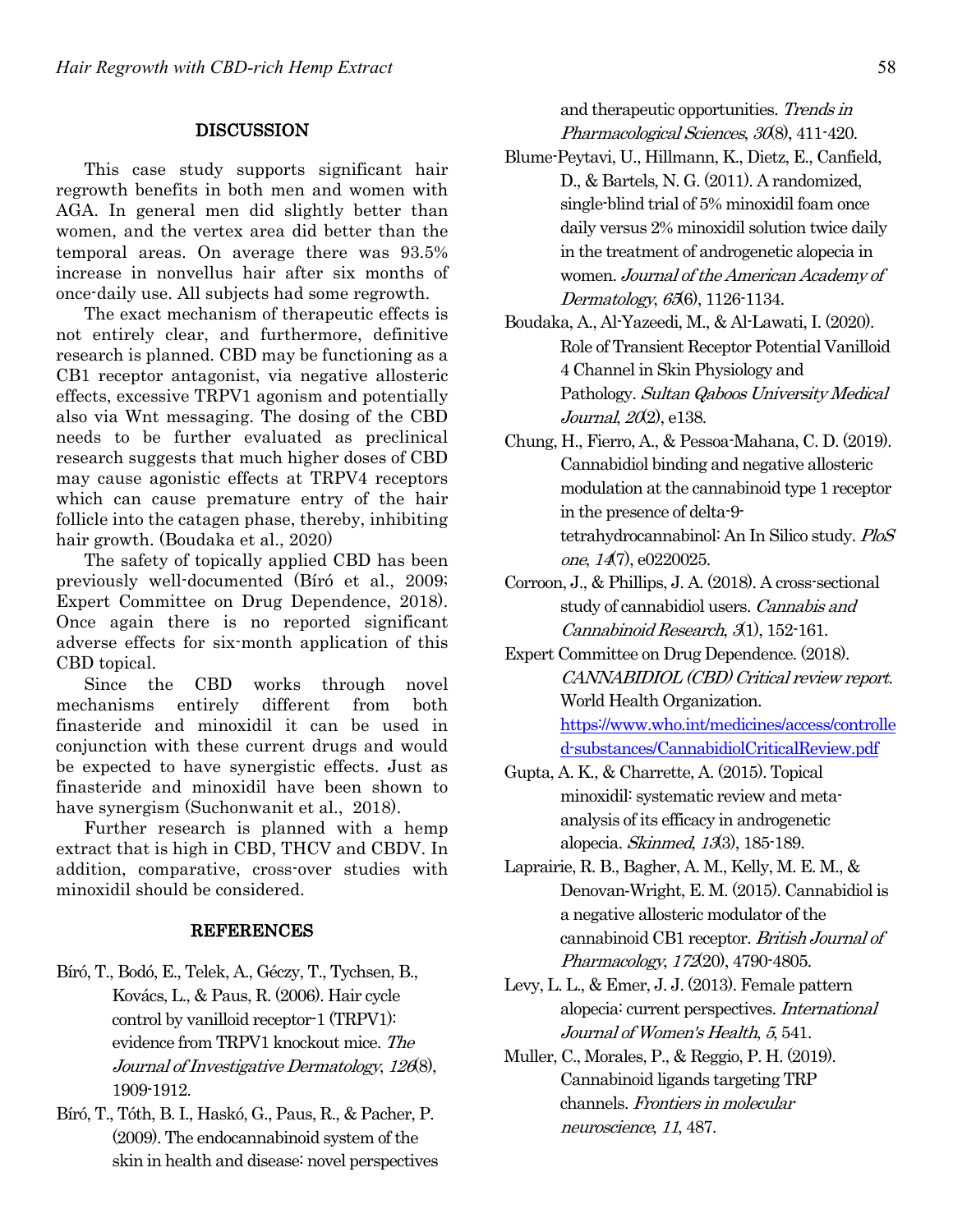## DISCUSSION

This case study supports significant hair regrowth benefits in both men and women with AGA. In general men did slightly better than women, and the vertex area did better than the temporal areas. On average there was 93.5% increase in nonvellus hair after six months of once-daily use. All subjects had some regrowth.

The exact mechanism of therapeutic effects is not entirely clear, and furthermore, definitive research is planned. CBD may be functioning as a CB1 receptor antagonist, via negative allosteric effects, excessive TRPV1 agonism and potentially also via Wnt messaging. The dosing of the CBD needs to be further evaluated as preclinical research suggests that much higher doses of CBD may cause agonistic effects at TRPV4 receptors which can cause premature entry of the hair follicle into the catagen phase, thereby, inhibiting hair growth. (Boudaka et al., 2020)

The safety of topically applied CBD has been previously well-documented (Bíró et al., 2009; Expert Committee on Drug Dependence, 2018). Once again there is no reported significant adverse effects for six-month application of this CBD topical.

Since the CBD works through novel mechanisms entirely different from both finasteride and minoxidil it can be used in conjunction with these current drugs and would be expected to have synergistic effects. Just as finasteride and minoxidil have been shown to have synergism (Suchonwanit et al., 2018).

Further research is planned with a hemp extract that is high in CBD, THCV and CBDV. In addition, comparative, cross-over studies with minoxidil should be considered.

#### REFERENCES

- Bíró, T., Bodó, E., Telek, A., Géczy, T., Tychsen, B., Kovács, L., & Paus, R. (2006). Hair cycle control by vanilloid receptor-1 (TRPV1): evidence from TRPV1 knockout mice. The Journal of Investigative Dermatology, 1268), 1909-1912.
- Bíró, T., Tóth, B. I., Haskó, G., Paus, R., & Pacher, P. (2009). The endocannabinoid system of the skin in health and disease: novel perspectives

and therapeutic opportunities. Trends in Pharmacological Sciences, 30(8), 411-420.

- Blume-Peytavi, U., Hillmann, K., Dietz, E., Canfield, D., & Bartels, N. G. (2011). A randomized, single-blind trial of 5% minoxidil foam once daily versus 2% minoxidil solution twice daily in the treatment of androgenetic alopecia in women. Journal of the American Academy of Dermatology, <sup>65</sup>(6), 1126-1134.
- Boudaka, A., Al-Yazeedi, M., & Al-Lawati, I. (2020). Role of Transient Receptor Potential Vanilloid 4 Channel in Skin Physiology and Pathology. Sultan Qaboos University Medical Journal, 20(2), e138.
- Chung, H., Fierro, A., & Pessoa-Mahana, C. D. (2019). Cannabidiol binding and negative allosteric modulation at the cannabinoid type 1 receptor in the presence of delta-9 tetrahydrocannabinol: An In Silico study. PloS one, <sup>14</sup>(7), e0220025.
- Corroon, J., & Phillips, J. A. (2018). A cross-sectional study of cannabidiol users. Cannabis and Cannabinoid Research, 3(1), 152-161.
- Expert Committee on Drug Dependence. (2018). CANNABIDIOL (CBD) Critical review report. World Health Organization. https://www.who.int/medicines/access/controlle d-substances/CannabidiolCriticalReview.pdf
- Gupta, A. K., & Charrette, A. (2015). Topical minoxidil: systematic review and metaanalysis of its efficacy in androgenetic alopecia. Skinmed, 13(3), 185-189.
- Laprairie, R. B., Bagher, A. M., Kelly, M. E. M., & Denovan-Wright, E. M. (2015). Cannabidiol is a negative allosteric modulator of the cannabinoid CB1 receptor. British Journal of Pharmacology, 172(20), 4790-4805.
- Levy, L. L., & Emer, J. J. (2013). Female pattern alopecia: current perspectives. International Journal of Women's Health, 5, 541.
- Muller, C., Morales, P., & Reggio, P. H. (2019). Cannabinoid ligands targeting TRP channels. Frontiers in molecular neuroscience, <sup>11</sup>, 487.